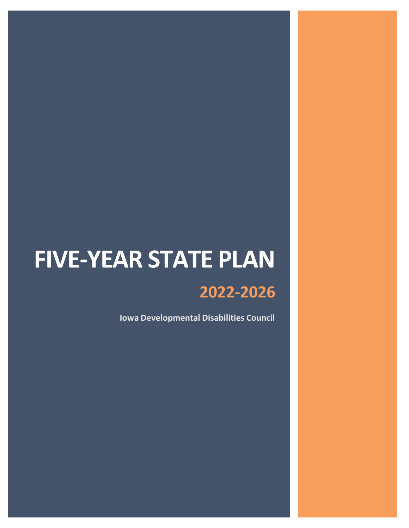# **FIVE-YEAR STATE PLAN**

# **2022-2026**

**Iowa Developmental Disabilities Council**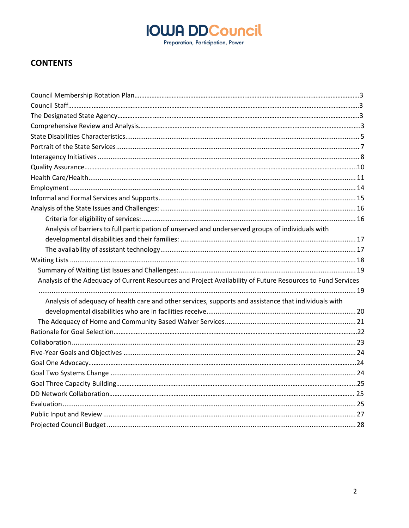Preparation, Participation, Power

### **CONTENTS**

| Analysis of barriers to full participation of unserved and underserved groups of individuals with           |  |
|-------------------------------------------------------------------------------------------------------------|--|
|                                                                                                             |  |
|                                                                                                             |  |
|                                                                                                             |  |
|                                                                                                             |  |
| Analysis of the Adequacy of Current Resources and Project Availability of Future Resources to Fund Services |  |
| Analysis of adequacy of health care and other services, supports and assistance that individuals with       |  |
|                                                                                                             |  |
|                                                                                                             |  |
|                                                                                                             |  |
|                                                                                                             |  |
|                                                                                                             |  |
|                                                                                                             |  |
|                                                                                                             |  |
|                                                                                                             |  |
|                                                                                                             |  |
|                                                                                                             |  |
|                                                                                                             |  |
|                                                                                                             |  |
|                                                                                                             |  |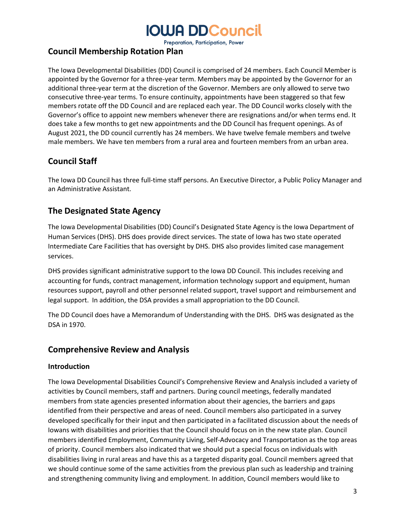Preparation, Participation, Power

### **Council Membership Rotation Plan**

The Iowa Developmental Disabilities (DD) Council is comprised of 24 members. Each Council Member is appointed by the Governor for a three-year term. Members may be appointed by the Governor for an additional three-year term at the discretion of the Governor. Members are only allowed to serve two consecutive three-year terms. To ensure continuity, appointments have been staggered so that few members rotate off the DD Council and are replaced each year. The DD Council works closely with the Governor's office to appoint new members whenever there are resignations and/or when terms end. It does take a few months to get new appointments and the DD Council has frequent openings. As of August 2021, the DD council currently has 24 members. We have twelve female members and twelve male members. We have ten members from a rural area and fourteen members from an urban area.

### **Council Staff**

The Iowa DD Council has three full-time staff persons. An Executive Director, a Public Policy Manager and an Administrative Assistant.

### **The Designated State Agency**

The Iowa Developmental Disabilities (DD) Council's Designated State Agency is the Iowa Department of Human Services (DHS). DHS does provide direct services. The state of Iowa has two state operated Intermediate Care Facilities that has oversight by DHS. DHS also provides limited case management services.

DHS provides significant administrative support to the Iowa DD Council. This includes receiving and accounting for funds, contract management, information technology support and equipment, human resources support, payroll and other personnel related support, travel support and reimbursement and legal support. In addition, the DSA provides a small appropriation to the DD Council.

The DD Council does have a Memorandum of Understanding with the DHS. DHS was designated as the DSA in 1970.

### <span id="page-2-0"></span>**Comprehensive Review and Analysis**

#### **Introduction**

The Iowa Developmental Disabilities Council's Comprehensive Review and Analysis included a variety of activities by Council members, staff and partners. During council meetings, federally mandated members from state agencies presented information about their agencies, the barriers and gaps identified from their perspective and areas of need. Council members also participated in a survey developed specifically for their input and then participated in a facilitated discussion about the needs of Iowans with disabilities and priorities that the Council should focus on in the new state plan. Council members identified Employment, Community Living, Self-Advocacy and Transportation as the top areas of priority. Council members also indicated that we should put a special focus on individuals with disabilities living in rural areas and have this as a targeted disparity goal. Council members agreed that we should continue some of the same activities from the previous plan such as leadership and training and strengthening community living and employment. In addition, Council members would like to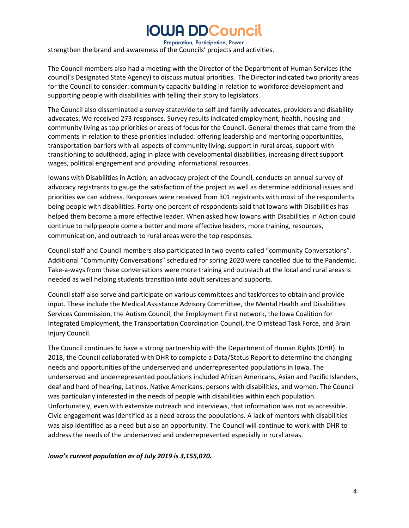Preparation, Participation, Power

strengthen the brand and awareness of the Councils' projects and activities.

The Council members also had a meeting with the Director of the Department of Human Services (the council's Designated State Agency) to discuss mutual priorities. The Director indicated two priority areas for the Council to consider: community capacity building in relation to workforce development and supporting people with disabilities with telling their story to legislators.

The Council also disseminated a survey statewide to self and family advocates, providers and disability advocates. We received 273 responses. Survey results indicated employment, health, housing and community living as top priorities or areas of focus for the Council. General themes that came from the comments in relation to these priorities included: offering leadership and mentoring opportunities, transportation barriers with all aspects of community living, support in rural areas, support with transitioning to adulthood, aging in place with developmental disabilities, increasing direct support wages, political engagement and providing informational resources.

Iowans with Disabilities in Action, an advocacy project of the Council, conducts an annual survey of advocacy registrants to gauge the satisfaction of the project as well as determine additional issues and priorities we can address. Responses were received from 301 registrants with most of the respondents being people with disabilities. Forty-one percent of respondents said that Iowans with Disabilities has helped them become a more effective leader. When asked how Iowans with Disabilities in Action could continue to help people come a better and more effective leaders, more training, resources, communication, and outreach to rural areas were the top responses.

Council staff and Council members also participated in two events called "community Conversations". Additional "Community Conversations" scheduled for spring 2020 were cancelled due to the Pandemic. Take-a-ways from these conversations were more training and outreach at the local and rural areas is needed as well helping students transition into adult services and supports.

Council staff also serve and participate on various committees and taskforces to obtain and provide input. These include the Medical Assistance Advisory Committee, the Mental Health and Disabilities Services Commission, the Autism Council, the Employment First network, the Iowa Coalition for Integrated Employment, the Transportation Coordination Council, the Olmstead Task Force, and Brain Injury Council.

The Council continues to have a strong partnership with the Department of Human Rights (DHR). In 2018, the Council collaborated with DHR to complete a Data/Status Report to determine the changing needs and opportunities of the underserved and underrepresented populations in Iowa. The underserved and underrepresented populations included African Americans, Asian and Pacific Islanders, deaf and hard of hearing, Latinos, Native Americans, persons with disabilities, and women. The Council was particularly interested in the needs of people with disabilities within each population. Unfortunately, even with extensive outreach and interviews, that information was not as accessible. Civic engagement was identified as a need across the populations. A lack of mentors with disabilities was also identified as a need but also an opportunity. The Council will continue to work with DHR to address the needs of the underserved and underrepresented especially in rural areas.

*Iowa's current population as of July 2019 is 3,155,070.*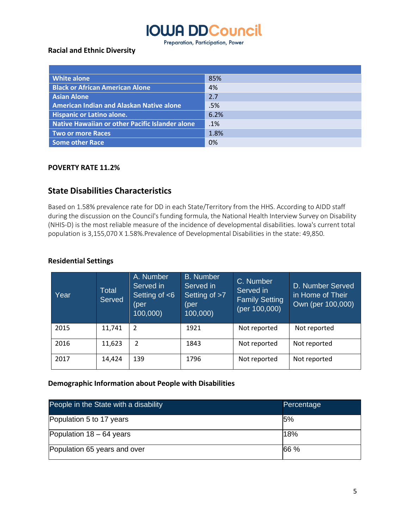Preparation, Participation, Power

#### **Racial and Ethnic Diversity**

| <b>White alone</b>                              | 85%  |
|-------------------------------------------------|------|
| <b>Black or African American Alone</b>          | 4%   |
| <b>Asian Alone</b>                              | 2.7  |
| <b>American Indian and Alaskan Native alone</b> | .5%  |
| <b>Hispanic or Latino alone.</b>                | 6.2% |
| Native Hawaiian or other Pacific Islander alone | .1%  |
| Two or more Races                               | 1.8% |
| <b>Some other Race</b>                          | 0%   |

#### **POVERTY RATE 11.2%**

### <span id="page-4-0"></span>**State Disabilities Characteristics**

Based on 1.58% prevalence rate for DD in each State/Territory from the HHS. According to AIDD staff during the discussion on the Council's funding formula, the National Health Interview Survey on Disability (NHIS-D) is the most reliable measure of the incidence of developmental disabilities. Iowa's current total population is 3,155,070 X 1.58%.Prevalence of Developmental Disabilities in the state: 49,850.

#### **Residential Settings**

| Year | <b>Total</b><br>Served | A. Number<br>Served in<br>Setting of $<$ 6<br>(per)<br>100,000) | <b>B.</b> Number<br>Served in<br>Setting of >7<br>(per<br>100,000) | C. Number<br>Served in<br><b>Family Setting</b><br>(per 100,000) | D. Number Served<br>in Home of Their<br>Own (per 100,000) |
|------|------------------------|-----------------------------------------------------------------|--------------------------------------------------------------------|------------------------------------------------------------------|-----------------------------------------------------------|
| 2015 | 11,741                 | $\overline{2}$                                                  | 1921                                                               | Not reported                                                     | Not reported                                              |
| 2016 | 11,623                 | 2                                                               | 1843                                                               | Not reported                                                     | Not reported                                              |
| 2017 | 14,424                 | 139                                                             | 1796                                                               | Not reported                                                     | Not reported                                              |

### **Demographic Information about People with Disabilities**

| People in the State with a disability | Percentage |
|---------------------------------------|------------|
| Population 5 to 17 years              | 5%         |
| Population $18 - 64$ years            | 18%        |
| Population 65 years and over          | 66 %       |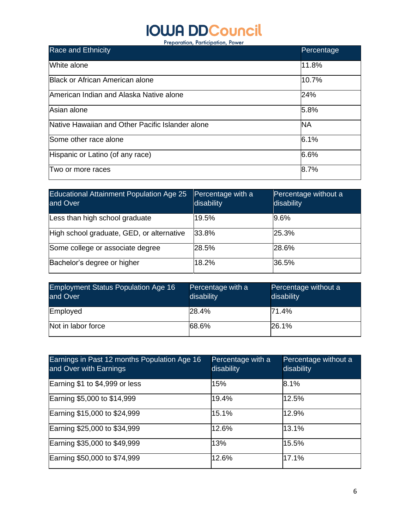## **IOWA DDCouncil** Preparation, Participation, Power

| <b>Race and Ethnicity</b>                        | Percentage |
|--------------------------------------------------|------------|
| White alone                                      | 11.8%      |
| <b>Black or African American alone</b>           | 10.7%      |
| American Indian and Alaska Native alone          | 24%        |
| Asian alone                                      | 5.8%       |
| Native Hawaiian and Other Pacific Islander alone | <b>NA</b>  |
| Some other race alone                            | 6.1%       |
| Hispanic or Latino (of any race)                 | 6.6%       |
| Two or more races                                | 8.7%       |

| <b>Educational Attainment Population Age 25</b><br>and Over | Percentage with a<br>disability | Percentage without a<br>disability |
|-------------------------------------------------------------|---------------------------------|------------------------------------|
| Less than high school graduate                              | 19.5%                           | 9.6%                               |
| High school graduate, GED, or alternative                   | 33.8%                           | 25.3%                              |
| Some college or associate degree                            | 28.5%                           | 28.6%                              |
| Bachelor's degree or higher                                 | 18.2%                           | 36.5%                              |

| <b>Employment Status Population Age 16</b><br>and Over | Percentage with a<br>disability | Percentage without a<br>disability |
|--------------------------------------------------------|---------------------------------|------------------------------------|
| Employed                                               | 28.4%                           | 71.4%                              |
| Not in labor force                                     | 68.6%                           | 26.1%                              |

| Earnings in Past 12 months Population Age 16<br>and Over with Earnings | Percentage with a<br>disability | Percentage without a<br>disability |
|------------------------------------------------------------------------|---------------------------------|------------------------------------|
| Earning \$1 to \$4,999 or less                                         | 15%                             | 8.1%                               |
| Earning \$5,000 to \$14,999                                            | 19.4%                           | 12.5%                              |
| Earning \$15,000 to \$24,999                                           | 15.1%                           | 12.9%                              |
| Earning \$25,000 to \$34,999                                           | 12.6%                           | 13.1%                              |
| Earning \$35,000 to \$49,999                                           | 13%                             | 15.5%                              |
| Earning \$50,000 to \$74,999                                           | 12.6%                           | 17.1%                              |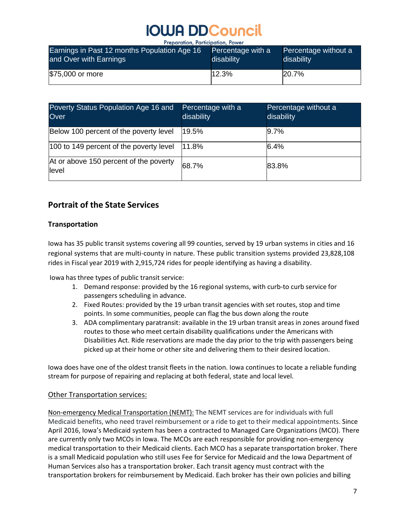| Earnings in Past 12 months Population Age 16 | Percentage with a | Percentage without a |
|----------------------------------------------|-------------------|----------------------|
| and Over with Earnings                       | disability        | disability           |
| \$75,000 or more                             | 12.3%             | 20.7%                |

| Poverty Status Population Age 16 and<br>Over     | Percentage with a<br>disability | Percentage without a<br>disability |
|--------------------------------------------------|---------------------------------|------------------------------------|
| Below 100 percent of the poverty level           | 19.5%                           | 9.7%                               |
| 100 to 149 percent of the poverty level          | 11.8%                           | 6.4%                               |
| At or above 150 percent of the poverty<br>llevel | 68.7%                           | 83.8%                              |

### <span id="page-6-0"></span>**Portrait of the State Services**

### **Transportation**

Iowa has 35 public transit systems covering all 99 counties, served by 19 urban systems in cities and 16 regional systems that are multi-county in nature. These public transition systems provided 23,828,108 rides in Fiscal year 2019 with 2,915,724 rides for people identifying as having a disability.

Iowa has three types of public transit service:

- 1. Demand response: provided by the 16 regional systems, with curb-to curb service for passengers scheduling in advance.
- 2. Fixed Routes: provided by the 19 urban transit agencies with set routes, stop and time points. In some communities, people can flag the bus down along the route
- 3. ADA complimentary paratransit: available in the 19 urban transit areas in zones around fixed routes to those who meet certain disability qualifications under the Americans with Disabilities Act. Ride reservations are made the day prior to the trip with passengers being picked up at their home or other site and delivering them to their desired location.

Iowa does have one of the oldest transit fleets in the nation. Iowa continues to locate a reliable funding stream for purpose of repairing and replacing at both federal, state and local level.

#### Other Transportation services:

Non-emergency Medical Transportation (NEMT): The NEMT services are for individuals with full Medicaid benefits, who need travel reimbursement or a ride to get to their medical appointments. Since April 2016, Iowa's Medicaid system has been a contracted to Managed Care Organizations (MCO). There are currently only two MCOs in Iowa. The MCOs are each responsible for providing non-emergency medical transportation to their Medicaid clients. Each MCO has a separate transportation broker. There is a small Medicaid population who still uses Fee for Service for Medicaid and the Iowa Department of Human Services also has a transportation broker. Each transit agency must contract with the transportation brokers for reimbursement by Medicaid. Each broker has their own policies and billing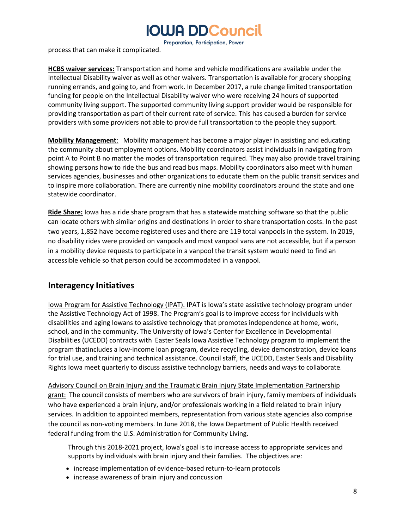Preparation, Participation, Power

process that can make it complicated.

**HCBS waiver services:** Transportation and home and vehicle modifications are available under the Intellectual Disability waiver as well as other waivers. Transportation is available for grocery shopping running errands, and going to, and from work. In December 2017, a rule change limited transportation funding for people on the Intellectual Disability waiver who were receiving 24 hours of supported community living support. The supported community living support provider would be responsible for providing transportation as part of their current rate of service. This has caused a burden for service providers with some providers not able to provide full transportation to the people they support.

**Mobility Management**: Mobility management has become a major player in assisting and educating the community about employment options. Mobility coordinators assist individuals in navigating from point A to Point B no matter the modes of transportation required. They may also provide travel training showing persons how to ride the bus and read bus maps. Mobility coordinators also meet with human services agencies, businesses and other organizations to educate them on the public transit services and to inspire more collaboration. There are currently nine mobility coordinators around the state and one statewide coordinator.

**Ride Share:** Iowa has a ride share program that has a statewide matching software so that the public can locate others with similar origins and destinations in order to share transportation costs. In the past two years, 1,852 have become registered uses and there are 119 total vanpools in the system. In 2019, no disability rides were provided on vanpools and most vanpool vans are not accessible, but if a person in a mobility device requests to participate in a vanpool the transit system would need to find an accessible vehicle so that person could be accommodated in a vanpool.

### <span id="page-7-0"></span>**Interagency Initiatives**

Iowa Program for Assistive Technology (IPAT). IPAT is Iowa's state assistive technology program under the Assistive Technology Act of 1998. The Program's goal is to improve access for individuals with disabilities and aging Iowans to assistive technology that promotes independence at home, work, school, and in the community. The University of Iowa's Center for Excellence in Developmental Disabilities (UCEDD) contracts with Easter Seals Iowa Assistive Technology program to implement the program thatincludes a low-income loan program, device recycling, device demonstration, device loans for trial use, and training and technical assistance. Council staff, the UCEDD, Easter Seals and Disability Rights Iowa meet quarterly to discuss assistive technology barriers, needs and ways to collaborate.

Advisory Council on Brain Injury and the Traumatic Brain Injury State Implementation Partnership grant: The council consists of members who are survivors of brain injury, family members of individuals who have experienced a brain injury, and/or professionals working in a field related to brain injury services. In addition to appointed members, representation from various state agencies also comprise the council as non-voting members. In June 2018, the Iowa Department of Public Health received federal funding from the U.S. Administration for Community Living.

Through this 2018-2021 project, Iowa's goal is to increase access to appropriate services and supports by individuals with brain injury and their families. The objectives are:

- increase implementation of evidence-based return-to-learn protocols
- increase awareness of brain injury and concussion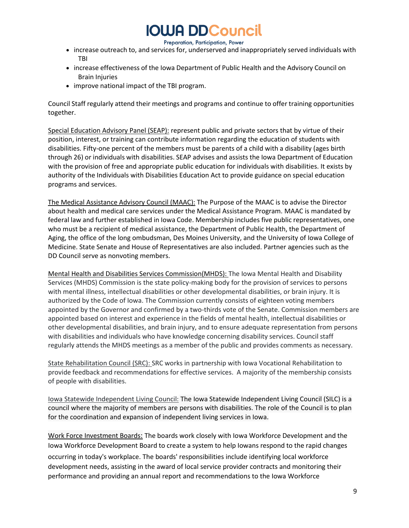Preparation, Participation, Power

- increase outreach to, and services for, underserved and inappropriately served individuals with TBI
- increase effectiveness of the Iowa Department of Public Health and the Advisory Council on Brain Injuries
- improve national impact of the TBI program.

Council Staff regularly attend their meetings and programs and continue to offer training opportunities together.

Special Education Advisory Panel (SEAP): represent public and private sectors that by virtue of their position, interest, or training can contribute information regarding the education of students with disabilities. Fifty-one percent of the members must be parents of a child with a disability (ages birth through 26) or individuals with disabilities. SEAP advises and assists the Iowa Department of Education with the provision of free and appropriate public education for individuals with disabilities. It exists by authority of the Individuals with Disabilities Education Act to provide guidance on special education programs and services.

The Medical Assistance Advisory Council (MAAC): The Purpose of the MAAC is to advise the Director about health and medical care services under the Medical Assistance Program. MAAC is mandated by federal law and further established in Iowa Code. Membership includes five public representatives, one who must be a recipient of medical assistance, the Department of Public Health, the Department of Aging, the office of the long ombudsman, Des Moines University, and the University of Iowa College of Medicine. State Senate and House of Representatives are also included. Partner agencies such as the DD Council serve as nonvoting members.

Mental Health and Disabilities Services Commission(MHDS): The Iowa Mental Health and Disability Services (MHDS) Commission is the state policy-making body for the provision of services to persons with mental illness, intellectual disabilities or other developmental disabilities, or brain injury. It is authorized by the Code of Iowa. The Commission currently consists of eighteen voting members appointed by the Governor and confirmed by a two-thirds vote of the Senate. Commission members are appointed based on interest and experience in the fields of mental health, intellectual disabilities or other developmental disabilities, and brain injury, and to ensure adequate representation from persons with disabilities and individuals who have knowledge concerning disability services. Council staff regularly attends the MHDS meetings as a member of the public and provides comments as necessary.

State Rehabilitation Council (SRC): SRC works in partnership with Iowa Vocational Rehabilitation to provide feedback and recommendations for effective services. A majority of the membership consists of people with disabilities.

Iowa Statewide Independent Living Council: The Iowa Statewide Independent Living Council (SILC) is a council where the majority of members are persons with disabilities. The role of the Council is to plan for the coordination and expansion of independent living services in Iowa.

Work Force Investment Boards: The boards work closely with Iowa Workforce Development and the Iowa Workforce Development Board to create a system to help Iowans respond to the rapid changes occurring in today's workplace. The boards' responsibilities include identifying local workforce development needs, assisting in the award of local service provider contracts and monitoring their performance and providing an annual report and recommendations to the Iowa Workforce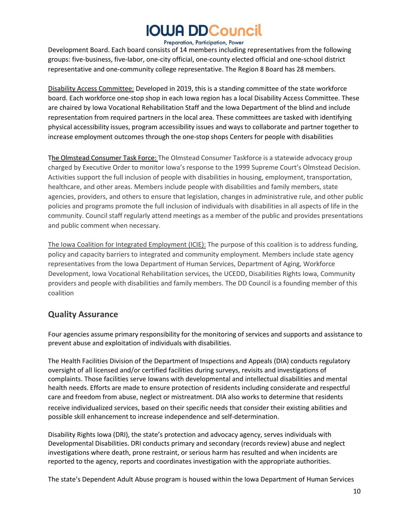#### Preparation, Participation, Power

Development Board. Each board consists of 14 members including representatives from the following groups: five-business, five-labor, one-city official, one-county elected official and one-school district representative and one-community college representative. The Region 8 Board has 28 members.

Disability Access Committee: Developed in 2019, this is a standing committee of the state workforce board. Each workforce one-stop shop in each Iowa region has a local Disability Access Committee. These are chaired by Iowa Vocational Rehabilitation Staff and the Iowa Department of the blind and include representation from required partners in the local area. These committees are tasked with identifying physical accessibility issues, program accessibility issues and ways to collaborate and partner together to increase employment outcomes through the one-stop shops Centers for people with disabilities

The Olmstead Consumer Task Force: The Olmstead Consumer Taskforce is a statewide advocacy group charged by Executive Order to monitor Iowa's response to the 1999 Supreme Court's Olmstead Decision. Activities support the full inclusion of people with disabilities in housing, employment, transportation, healthcare, and other areas. Members include people with disabilities and family members, state agencies, providers, and others to ensure that legislation, changes in administrative rule, and other public policies and programs promote the full inclusion of individuals with disabilities in all aspects of life in the community. Council staff regularly attend meetings as a member of the public and provides presentations and public comment when necessary.

The Iowa Coalition for Integrated Employment (ICIE): The purpose of this coalition is to address funding, policy and capacity barriers to integrated and community employment. Members include state agency representatives from the Iowa Department of Human Services, Department of Aging, Workforce Development, Iowa Vocational Rehabilitation services, the UCEDD, Disabilities Rights Iowa, Community providers and people with disabilities and family members. The DD Council is a founding member of this coalition

### **Quality Assurance**

Four agencies assume primary responsibility for the monitoring of services and supports and assistance to prevent abuse and exploitation of individuals with disabilities.

The Health Facilities Division of the Department of Inspections and Appeals (DIA) conducts regulatory oversight of all licensed and/or certified facilities during surveys, revisits and investigations of complaints. Those facilities serve Iowans with developmental and intellectual disabilities and mental health needs. Efforts are made to ensure protection of residents including considerate and respectful care and freedom from abuse, neglect or mistreatment. DIA also works to determine that residents receive individualized services, based on their specific needs that consider their existing abilities and possible skill enhancement to increase independence and self-determination.

Disability Rights Iowa (DRI), the state's protection and advocacy agency, serves individuals with Developmental Disabilities. DRI conducts primary and secondary (records review) abuse and neglect investigations where death, prone restraint, or serious harm has resulted and when incidents are reported to the agency, reports and coordinates investigation with the appropriate authorities.

The state's Dependent Adult Abuse program is housed within the Iowa Department of Human Services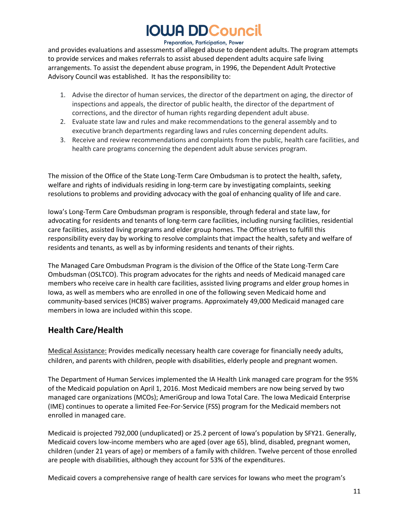#### Preparation, Participation, Power

and provides evaluations and assessments of alleged abuse to dependent adults. The program attempts to provide services and makes referrals to assist abused dependent adults acquire safe living arrangements. To assist the dependent abuse program, in 1996, the Dependent Adult Protective Advisory Council was established. It has the responsibility to:

- 1. Advise the director of human services, the director of the department on aging, the director of inspections and appeals, the director of public health, the director of the department of corrections, and the director of human rights regarding dependent adult abuse.
- 2. Evaluate state law and rules and make recommendations to the general assembly and to executive branch departments regarding laws and rules concerning dependent adults.
- 3. Receive and review recommendations and complaints from the public, health care facilities, and health care programs concerning the dependent adult abuse services program.

The mission of the Office of the State Long-Term Care Ombudsman is to protect the health, safety, welfare and rights of individuals residing in long-term care by investigating complaints, seeking resolutions to problems and providing advocacy with the goal of enhancing quality of life and care.

Iowa's Long-Term Care Ombudsman program is responsible, through federal and state law, for advocating for residents and tenants of long-term care facilities, including nursing facilities, residential care facilities, assisted living programs and elder group homes. The Office strives to fulfill this responsibility every day by working to resolve complaints that impact the health, safety and welfare of residents and tenants, as well as by informing residents and tenants of their rights.

The Managed Care Ombudsman Program is the division of the Office of the State Long-Term Care Ombudsman (OSLTCO). This program advocates for the rights and needs of Medicaid managed care members who receive care in health care facilities, assisted living programs and elder group homes in Iowa, as well as members who are enrolled in one of the following seven Medicaid home and community-based services (HCBS) waiver programs. Approximately 49,000 Medicaid managed care members in Iowa are included within this scope.

### <span id="page-10-0"></span>**Health Care/Health**

Medical Assistance: Provides medically necessary health care coverage for financially needy adults, children, and parents with children, people with disabilities, elderly people and pregnant women.

The Department of Human Services implemented the IA Health Link managed care program for the 95% of the Medicaid population on April 1, 2016. Most Medicaid members are now being served by two managed care organizations (MCOs); AmeriGroup and Iowa Total Care. The Iowa Medicaid Enterprise (IME) continues to operate a limited Fee-For-Service (FSS) program for the Medicaid members not enrolled in managed care.

Medicaid is projected 792,000 (unduplicated) or 25.2 percent of Iowa's population by SFY21. Generally, Medicaid covers low-income members who are aged (over age 65), blind, disabled, pregnant women, children (under 21 years of age) or members of a family with children. Twelve percent of those enrolled are people with disabilities, although they account for 53% of the expenditures.

Medicaid covers a comprehensive range of health care services for Iowans who meet the program's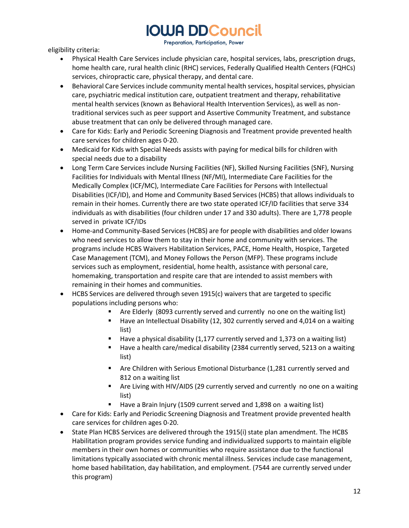Preparation, Participation, Power

eligibility criteria:

- Physical Health Care Services include physician care, hospital services, labs, prescription drugs, home health care, rural health clinic (RHC) services, Federally Qualified Health Centers (FQHCs) services, chiropractic care, physical therapy, and dental care.
- Behavioral Care Services include community mental health services, hospital services, physician care, psychiatric medical institution care, outpatient treatment and therapy, rehabilitative mental health services (known as Behavioral Health Intervention Services), as well as nontraditional services such as peer support and Assertive Community Treatment, and substance abuse treatment that can only be delivered through managed care.
- Care for Kids: Early and Periodic Screening Diagnosis and Treatment provide prevented health care services for children ages 0-20.
- Medicaid for Kids with Special Needs assists with paying for medical bills for children with special needs due to a disability
- Long Term Care Services include Nursing Facilities (NF), Skilled Nursing Facilities (SNF), Nursing Facilities for Individuals with Mental Illness (NF/MI), Intermediate Care Facilities for the Medically Complex (ICF/MC), Intermediate Care Facilities for Persons with Intellectual Disabilities (ICF/ID), and Home and Community Based Services (HCBS) that allows individuals to remain in their homes. Currently there are two state operated ICF/ID facilities that serve 334 individuals as with disabilities (four children under 17 and 330 adults). There are 1,778 people served in private ICF/IDs
- Home-and Community-Based Services (HCBS) are for people with disabilities and older Iowans who need services to allow them to stay in their home and community with services. The programs include HCBS Waivers Habilitation Services, PACE, Home Health, Hospice, Targeted Case Management (TCM), and Money Follows the Person (MFP). These programs include services such as employment, residential, home health, assistance with personal care, homemaking, transportation and respite care that are intended to assist members with remaining in their homes and communities.
- HCBS Services are delivered through seven 1915(c) waivers that are targeted to specific populations including persons who:
	- Are Elderly (8093 currently served and currently no one on the waiting list)
	- Have an Intellectual Disability (12, 302 currently served and 4,014 on a waiting list)
	- Have a physical disability (1,177 currently served and 1,373 on a waiting list)
	- Have a health care/medical disability (2384 currently served, 5213 on a waiting list)
	- Are Children with Serious Emotional Disturbance (1,281 currently served and 812 on a waiting list
	- Are Living with HIV/AIDS (29 currently served and currently no one on a waiting list)
	- Have a Brain Injury (1509 current served and 1,898 on a waiting list)
- Care for Kids: Early and Periodic Screening Diagnosis and Treatment provide prevented health care services for children ages 0-20.
- State Plan HCBS Services are delivered through the 1915(i) state plan amendment. The HCBS Habilitation program provides service funding and individualized supports to maintain eligible members in their own homes or communities who require assistance due to the functional limitations typically associated with chronic mental illness. Services include case management, home based habilitation, day habilitation, and employment. (7544 are currently served under this program)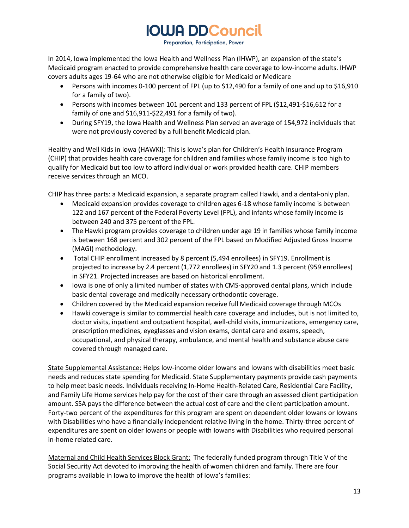Preparation, Participation, Power

In 2014, Iowa implemented the Iowa Health and Wellness Plan (IHWP), an expansion of the state's Medicaid program enacted to provide comprehensive health care coverage to low-income adults. IHWP covers adults ages 19-64 who are not otherwise eligible for Medicaid or Medicare

- Persons with incomes 0-100 percent of FPL (up to \$12,490 for a family of one and up to \$16,910 for a family of two).
- Persons with incomes between 101 percent and 133 percent of FPL (\$12,491-\$16,612 for a family of one and \$16,911-\$22,491 for a family of two).
- During SFY19, the Iowa Health and Wellness Plan served an average of 154,972 individuals that were not previously covered by a full benefit Medicaid plan.

Healthy and Well Kids in Iowa (HAWKI): This is Iowa's plan for Children's Health Insurance Program (CHIP) that provides health care coverage for children and families whose family income is too high to qualify for Medicaid but too low to afford individual or work provided health care. CHIP members receive services through an MCO.

CHIP has three parts: a Medicaid expansion, a separate program called Hawki, and a dental-only plan.

- Medicaid expansion provides coverage to children ages 6-18 whose family income is between 122 and 167 percent of the Federal Poverty Level (FPL), and infants whose family income is between 240 and 375 percent of the FPL.
- The Hawki program provides coverage to children under age 19 in families whose family income is between 168 percent and 302 percent of the FPL based on Modified Adjusted Gross Income (MAGI) methodology.
- Total CHIP enrollment increased by 8 percent (5,494 enrollees) in SFY19. Enrollment is projected to increase by 2.4 percent (1,772 enrollees) in SFY20 and 1.3 percent (959 enrollees) in SFY21. Projected increases are based on historical enrollment.
- Iowa is one of only a limited number of states with CMS-approved dental plans, which include basic dental coverage and medically necessary orthodontic coverage.
- Children covered by the Medicaid expansion receive full Medicaid coverage through MCOs
- Hawki coverage is similar to commercial health care coverage and includes, but is not limited to, doctor visits, inpatient and outpatient hospital, well-child visits, immunizations, emergency care, prescription medicines, eyeglasses and vision exams, dental care and exams, speech, occupational, and physical therapy, ambulance, and mental health and substance abuse care covered through managed care.

State Supplemental Assistance: Helps low-income older Iowans and Iowans with disabilities meet basic needs and reduces state spending for Medicaid. State Supplementary payments provide cash payments to help meet basic needs. Individuals receiving In-Home Health-Related Care, Residential Care Facility, and Family Life Home services help pay for the cost of their care through an assessed client participation amount. SSA pays the difference between the actual cost of care and the client participation amount. Forty-two percent of the expenditures for this program are spent on dependent older Iowans or Iowans with Disabilities who have a financially independent relative living in the home. Thirty-three percent of expenditures are spent on older Iowans or people with Iowans with Disabilities who required personal in-home related care.

Maternal and Child Health Services Block Grant: The federally funded program through Title V of the Social Security Act devoted to improving the health of women children and family. There are four programs available in Iowa to improve the health of Iowa's families: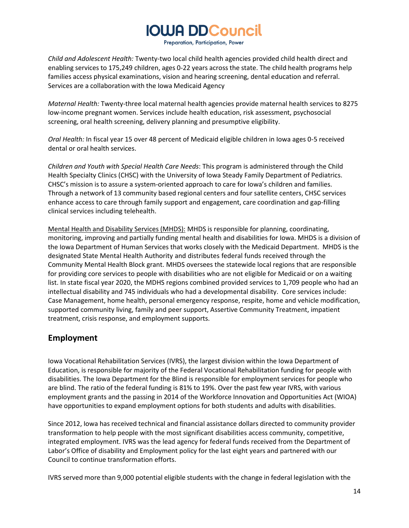Preparation, Participation, Power

*Child and Adolescent Health:* Twenty-two local child health agencies provided child health direct and enabling services to 175,249 children, ages 0-22 years across the state. The child health programs help families access physical examinations, vision and hearing screening, dental education and referral. Services are a collaboration with the Iowa Medicaid Agency

*Maternal Health:* Twenty-three local maternal health agencies provide maternal health services to 8275 low-income pregnant women. Services include health education, risk assessment, psychosocial screening, oral health screening, delivery planning and presumptive eligibility.

*Oral Health:* In fiscal year 15 over 48 percent of Medicaid eligible children in Iowa ages 0-5 received dental or oral health services.

*Children and Youth with Special Health Care Needs*: This program is administered through the Child Health Specialty Clinics (CHSC) with the University of Iowa Steady Family Department of Pediatrics. CHSC's mission is to assure a system-oriented approach to care for Iowa's children and families. Through a network of 13 community based regional centers and four satellite centers, CHSC services enhance access to care through family support and engagement, care coordination and gap-filling clinical services including telehealth.

Mental Health and Disability Services (MHDS): MHDS is responsible for planning, coordinating, monitoring, improving and partially funding mental health and disabilities for Iowa. MHDS is a division of the Iowa Department of Human Services that works closely with the Medicaid Department. MHDS is the designated State Mental Health Authority and distributes federal funds received through the Community Mental Health Block grant. MHDS oversees the statewide local regions that are responsible for providing core services to people with disabilities who are not eligible for Medicaid or on a waiting list. In state fiscal year 2020, the MDHS regions combined provided services to 1,709 people who had an intellectual disability and 745 individuals who had a developmental disability. Core services include: Case Management, home health, personal emergency response, respite, home and vehicle modification, supported community living, family and peer support, Assertive Community Treatment, impatient treatment, crisis response, and employment supports.

### <span id="page-13-0"></span>**Employment**

Iowa Vocational Rehabilitation Services (IVRS), the largest division within the Iowa Department of Education, is responsible for majority of the Federal Vocational Rehabilitation funding for people with disabilities. The Iowa Department for the Blind is responsible for employment services for people who are blind. The ratio of the federal funding is 81% to 19%. Over the past few year IVRS, with various employment grants and the passing in 2014 of the Workforce Innovation and Opportunities Act (WIOA) have opportunities to expand employment options for both students and adults with disabilities.

Since 2012, Iowa has received technical and financial assistance dollars directed to community provider transformation to help people with the most significant disabilities access community, competitive, integrated employment. IVRS was the lead agency for federal funds received from the Department of Labor's Office of disability and Employment policy for the last eight years and partnered with our Council to continue transformation efforts.

IVRS served more than 9,000 potential eligible students with the change in federal legislation with the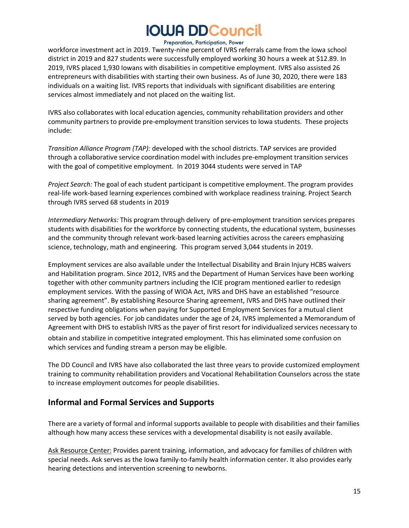#### Preparation, Participation, Power

workforce investment act in 2019. Twenty-nine percent of IVRS referrals came from the Iowa school district in 2019 and 827 students were successfully employed working 30 hours a week at \$12.89. In 2019, IVRS placed 1,930 Iowans with disabilities in competitive employment. IVRS also assisted 26 entrepreneurs with disabilities with starting their own business. As of June 30, 2020, there were 183 individuals on a waiting list. IVRS reports that individuals with significant disabilities are entering services almost immediately and not placed on the waiting list.

IVRS also collaborates with local education agencies, community rehabilitation providers and other community partners to provide pre-employment transition services to Iowa students. These projects include:

*Transition Alliance Program (TAP):* developed with the school districts. TAP services are provided through a collaborative service coordination model with includes pre-employment transition services with the goal of competitive employment. In 2019 3044 students were served in TAP

*Project Search:* The goal of each student participant is competitive employment. The program provides real-life work-based learning experiences combined with workplace readiness training. Project Search through IVRS served 68 students in 2019

*Intermediary Networks:* This program through delivery of pre-employment transition services prepares students with disabilities for the workforce by connecting students, the educational system, businesses and the community through relevant work-based learning activities across the careers emphasizing science, technology, math and engineering. This program served 3,044 students in 2019.

Employment services are also available under the Intellectual Disability and Brain Injury HCBS waivers and Habilitation program. Since 2012, IVRS and the Department of Human Services have been working together with other community partners including the ICIE program mentioned earlier to redesign employment services. With the passing of WIOA Act, IVRS and DHS have an established "resource sharing agreement". By establishing Resource Sharing agreement, IVRS and DHS have outlined their respective funding obligations when paying for Supported Employment Services for a mutual client served by both agencies. For job candidates under the age of 24, IVRS implemented a Memorandum of Agreement with DHS to establish IVRS as the payer of first resort for individualized services necessary to obtain and stabilize in competitive integrated employment. This has eliminated some confusion on which services and funding stream a person may be eligible.

The DD Council and IVRS have also collaborated the last three years to provide customized employment training to community rehabilitation providers and Vocational Rehabilitation Counselors across the state to increase employment outcomes for people disabilities.

### <span id="page-14-0"></span>**Informal and Formal Services and Supports**

There are a variety of formal and informal supports available to people with disabilities and their families although how many access these services with a developmental disability is not easily available.

Ask Resource Center: Provides parent training, information, and advocacy for families of children with special needs. Ask serves as the Iowa family-to-family health information center. It also provides early hearing detections and intervention screening to newborns.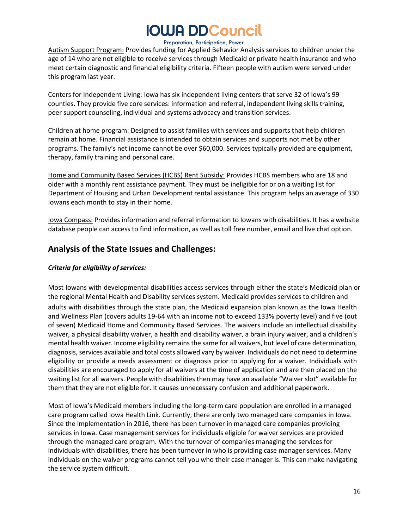#### Preparation, Participation, Power

Autism Support Program: Provides funding for Applied Behavior Analysis services to children under the age of 14 who are not eligible to receive services through Medicaid or private health insurance and who meet certain diagnostic and financial eligibility criteria. Fifteen people with autism were served under this program last year.

Centers for Independent Living: Iowa has six independent living centers that serve 32 of Iowa's 99 counties. They provide five core services: information and referral, independent living skills training, peer support counseling, individual and systems advocacy and transition services.

Children at home program: Designed to assist families with services and supports that help children remain at home. Financial assistance is intended to obtain services and supports not met by other programs. The family's net income cannot be over \$60,000. Services typically provided are equipment, therapy, family training and personal care.

Home and Community Based Services (HCBS) Rent Subsidy: Provides HCBS members who are 18 and older with a monthly rent assistance payment. They must be ineligible for or on a waiting list for Department of Housing and Urban Development rental assistance. This program helps an average of 330 Iowans each month to stay in their home.

Iowa Compass: Provides information and referral information to Iowans with disabilities. It has a website database people can access to find information, as well as toll free number, email and live chat option.

### <span id="page-15-0"></span>**Analysis of the State Issues and Challenges:**

#### <span id="page-15-1"></span>*Criteria for eligibility of services:*

Most Iowans with developmental disabilities access services through either the state's Medicaid plan or the regional Mental Health and Disability services system. Medicaid provides services to children and adults with disabilities through the state plan, the Medicaid expansion plan known as the Iowa Health and Wellness Plan (covers adults 19-64 with an income not to exceed 133% poverty level) and five (out of seven) Medicaid Home and Community Based Services. The waivers include an intellectual disability waiver, a physical disability waiver, a health and disability waiver, a brain injury waiver, and a children's mental health waiver. Income eligibility remains the same for all waivers, but level of care determination, diagnosis, services available and total costs allowed vary by waiver. Individuals do not need to determine eligibility or provide a needs assessment or diagnosis prior to applying for a waiver. Individuals with disabilities are encouraged to apply for all waivers at the time of application and are then placed on the waiting list for all waivers. People with disabilities then may have an available "Waiver slot" available for them that they are not eligible for. It causes unnecessary confusion and additional paperwork.

Most of Iowa's Medicaid members including the long-term care population are enrolled in a managed care program called Iowa Health Link. Currently, there are only two managed care companies in Iowa. Since the implementation in 2016, there has been turnover in managed care companies providing services in Iowa. Case management services for individuals eligible for waiver services are provided through the managed care program. With the turnover of companies managing the services for individuals with disabilities, there has been turnover in who is providing case manager services. Many individuals on the waiver programs cannot tell you who their case manager is. This can make navigating the service system difficult.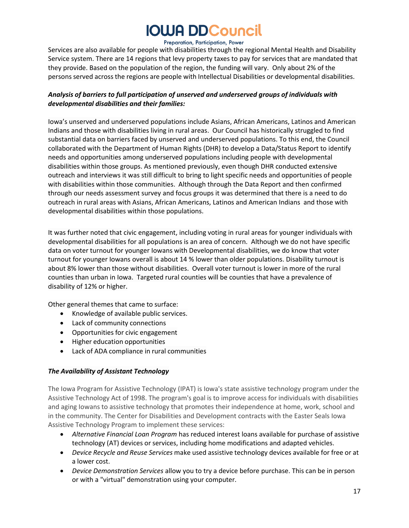#### Preparation, Participation, Power

Services are also available for people with disabilities through the regional Mental Health and Disability Service system. There are 14 regions that levy property taxes to pay for services that are mandated that they provide. Based on the population of the region, the funding will vary. Only about 2% of the persons served across the regions are people with Intellectual Disabilities or developmental disabilities.

#### <span id="page-16-0"></span>*Analysis of barriers to full participation of unserved and underserved groups of individuals with developmental disabilities and their families:*

Iowa's unserved and underserved populations include Asians, African Americans, Latinos and American Indians and those with disabilities living in rural areas. Our Council has historically struggled to find substantial data on barriers faced by unserved and underserved populations. To this end, the Council collaborated with the Department of Human Rights (DHR) to develop a Data/Status Report to identify needs and opportunities among underserved populations including people with developmental disabilities within those groups. As mentioned previously, even though DHR conducted extensive outreach and interviews it was still difficult to bring to light specific needs and opportunities of people with disabilities within those communities. Although through the Data Report and then confirmed through our needs assessment survey and focus groups it was determined that there is a need to do outreach in rural areas with Asians, African Americans, Latinos and American Indians and those with developmental disabilities within those populations.

It was further noted that civic engagement, including voting in rural areas for younger individuals with developmental disabilities for all populations is an area of concern. Although we do not have specific data on voter turnout for younger Iowans with Developmental disabilities, we do know that voter turnout for younger Iowans overall is about 14 % lower than older populations. Disability turnout is about 8% lower than those without disabilities. Overall voter turnout is lower in more of the rural counties than urban in Iowa. Targeted rural counties will be counties that have a prevalence of disability of 12% or higher.

Other general themes that came to surface:

- Knowledge of available public services.
- Lack of community connections
- Opportunities for civic engagement
- Higher education opportunities
- Lack of ADA compliance in rural communities

#### <span id="page-16-1"></span>*The Availability of Assistant Technology*

The Iowa Program for Assistive Technology (IPAT) is Iowa's state assistive technology program under the Assistive Technology Act of 1998. The program's goal is to improve access for individuals with disabilities and aging Iowans to assistive technology that promotes their independence at home, work, school and in the community. The Center for Disabilities and Development contracts with the Easter Seals Iowa Assistive Technology Program to implement these services:

- *[Alternative Financial Loan Program](http://iowacompass.org/)* has reduced interest loans available for purchase of assistive technology (AT) devices or services, including home modifications and adapted vehicles.
- *Device Recycle and Reuse Services* make used assistive technology devices available for free or at a lower cost.
- *Device Demonstration Services* allow you to try a device before purchase. This can be in person or with a "virtual" demonstration using your computer.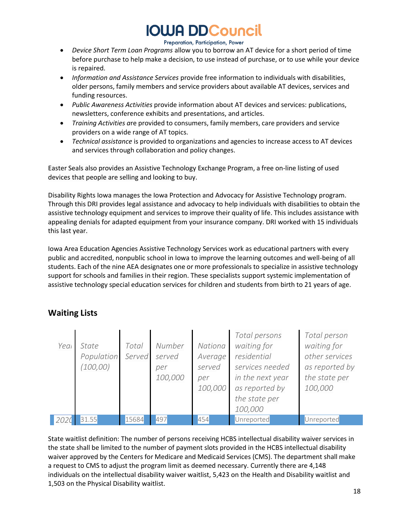#### Preparation, Participation, Power

- *Device Short Term Loan Programs* allow you to borrow an AT device for a short period of time before purchase to help make a decision, to use instead of purchase, or to use while your device is repaired.
- *Information and Assistance Services* provide free information to individuals with disabilities, older persons, family members and service providers about available AT devices, services and funding resources.
- *Public Awareness Activities* provide information about AT devices and services: publications, newsletters, conference exhibits and presentations, and articles.
- *Training [Activities](http://www.iowaat.org/training) a*re provided to consumers, family members, care providers and service providers on a wide range of AT topics.
- *Technical assistance* is provided to organizations and agencies to increase access to AT devices and services through collaboration and policy changes.

Easter Seals also provides an Assistive Technology Exchange Program, a free on-line listing of used devices that people are selling and looking to buy.

Disability Rights Iowa manages the Iowa Protection and Advocacy for Assistive Technology program. Through this DRI provides legal assistance and advocacy to help individuals with disabilities to obtain the assistive technology equipment and services to improve their quality of life. This includes assistance with appealing denials for adapted equipment from your insurance company. DRI worked with 15 individuals this last year.

Iowa Area Education Agencies Assistive Technology Services work as educational partners with every public and accredited, nonpublic school in Iowa to improve the learning outcomes and well-being of all students. Each of the nine AEA designates one or more professionals to specialize in assistive technology support for schools and families in their region. These specialists support systemic implementation of assistive technology special education services for children and students from birth to 21 years of age.

#### *Year State Population Served (100,00) Total Number served per 100,000 National Average served per 100,000 Total persons waiting for residential services needed in the next year as reported by the state per 100,000 Total person waiting for other services as reported by the state per 100,000* **2020** 31.55 15684 497 454 Unreported Unreported

### <span id="page-17-0"></span>**Waiting Lists**

State waitlist definition: The number of persons receiving HCBS intellectual disability waiver services in the state shall be limited to the number of payment slots provided in the HCBS intellectual disability waiver approved by the Centers for Medicare and Medicaid Services (CMS). The department shall make a request to CMS to adjust the program limit as deemed necessary. Currently there are 4,148 individuals on the intellectual disability waiver waitlist, 5,423 on the Health and Disability waitlist and 1,503 on the Physical Disability waitlist.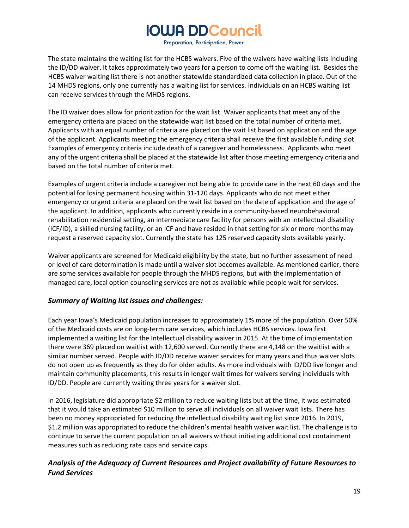Preparation, Participation, Power

The state maintains the waiting list for the HCBS waivers. Five of the waivers have waiting lists including the ID/DD waiver. It takes approximately two years for a person to come off the waiting list. Besides the HCBS waiver waiting list there is not another statewide standardized data collection in place. Out of the 14 MHDS regions, only one currently has a waiting list for services. Individuals on an HCBS waiting list can receive services through the MHDS regions.

The ID waiver does allow for prioritization for the wait list. Waiver applicants that meet any of the emergency criteria are placed on the statewide wait list based on the total number of criteria met. Applicants with an equal number of criteria are placed on the wait list based on application and the age of the applicant. Applicants meeting the emergency criteria shall receive the first available funding slot. Examples of emergency criteria include death of a caregiver and homelessness. Applicants who meet any of the urgent criteria shall be placed at the statewide list after those meeting emergency criteria and based on the total number of criteria met.

Examples of urgent criteria include a caregiver not being able to provide care in the next 60 days and the potential for losing permanent housing within 31-120 days. Applicants who do not meet either emergency or urgent criteria are placed on the wait list based on the date of application and the age of the applicant. In addition, applicants who currently reside in a community-based neurobehavioral rehabilitation residential setting, an intermediate care facility for persons with an intellectual disability (ICF/ID), a skilled nursing facility, or an ICF and have resided in that setting for six or more months may request a reserved capacity slot. Currently the state has 125 reserved capacity slots available yearly.

Waiver applicants are screened for Medicaid eligibility by the state, but no further assessment of need or level of care determination is made until a waiver slot becomes available. As mentioned earlier, there are some services available for people through the MHDS regions, but with the implementation of managed care, local option counseling services are not as available while people wait for services.

#### <span id="page-18-0"></span>*Summary of Waiting list issues and challenges:*

Each year Iowa's Medicaid population increases to approximately 1% more of the population. Over 50% of the Medicaid costs are on long-term care services, which includes HCBS services. Iowa first implemented a waiting list for the Intellectual disability waiver in 2015. At the time of implementation there were 369 placed on waitlist with 12,600 served. Currently there are 4,148 on the waitlist with a similar number served. People with ID/DD receive waiver services for many years and thus waiver slots do not open up as frequently as they do for older adults. As more individuals with ID/DD live longer and maintain community placements, this results in longer wait times for waivers serving individuals with ID/DD. People are currently waiting three years for a waiver slot.

In 2016, legislature did appropriate \$2 million to reduce waiting lists but at the time, it was estimated that it would take an estimated \$10 million to serve all individuals on all waiver wait lists. There has been no money appropriated for reducing the intellectual disability waiting list since 2016. In 2019, \$1.2 million was appropriated to reduce the children's mental health waiver wait list. The challenge is to continue to serve the current population on all waivers without initiating additional cost containment measures such as reducing rate caps and service caps.

### <span id="page-18-1"></span>*Analysis of the Adequacy of Current Resources and Project availability of Future Resources to Fund Services*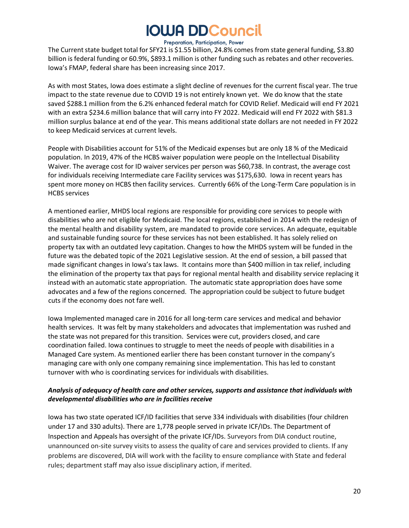#### Preparation, Participation, Power

The Current state budget total for SFY21 is \$1.55 billion, 24.8% comes from state general funding, \$3.80 billion is federal funding or 60.9%, \$893.1 million is other funding such as rebates and other recoveries. Iowa's FMAP, federal share has been increasing since 2017.

As with most States, Iowa does estimate a slight decline of revenues for the current fiscal year. The true impact to the state revenue due to COVID 19 is not entirely known yet. We do know that the state saved \$288.1 million from the 6.2% enhanced federal match for COVID Relief. Medicaid will end FY 2021 with an extra \$234.6 million balance that will carry into FY 2022. Medicaid will end FY 2022 with \$81.3 million surplus balance at end of the year. This means additional state dollars are not needed in FY 2022 to keep Medicaid services at current levels.

People with Disabilities account for 51% of the Medicaid expenses but are only 18 % of the Medicaid population. In 2019, 47% of the HCBS waiver population were people on the Intellectual Disability Waiver. The average cost for ID waiver services per person was \$60,738. In contrast, the average cost for individuals receiving Intermediate care Facility services was \$175,630. Iowa in recent years has spent more money on HCBS then facility services. Currently 66% of the Long-Term Care population is in HCBS services

A mentioned earlier, MHDS local regions are responsible for providing core services to people with disabilities who are not eligible for Medicaid. The local regions, established in 2014 with the redesign of the mental health and disability system, are mandated to provide core services. An adequate, equitable and sustainable funding source for these services has not been established. It has solely relied on property tax with an outdated levy capitation. Changes to how the MHDS system will be funded in the future was the debated topic of the 2021 Legislative session. At the end of session, a bill passed that made significant changes in Iowa's tax laws. It contains more than \$400 million in tax relief, including the elimination of the property tax that pays for regional mental health and disability service replacing it instead with an automatic state appropriation. The automatic state appropriation does have some advocates and a few of the regions concerned. The appropriation could be subject to future budget cuts if the economy does not fare well.

Iowa Implemented managed care in 2016 for all long-term care services and medical and behavior health services. It was felt by many stakeholders and advocates that implementation was rushed and the state was not prepared for this transition. Services were cut, providers closed, and care coordination failed. Iowa continues to struggle to meet the needs of people with disabilities in a Managed Care system. As mentioned earlier there has been constant turnover in the company's managing care with only one company remaining since implementation. This has led to constant turnover with who is coordinating services for individuals with disabilities.

#### <span id="page-19-0"></span>*Analysis of adequacy of health care and other services, supports and assistance that individuals with developmental disabilities who are in facilities receive*

Iowa has two state operated ICF/ID facilities that serve 334 individuals with disabilities (four children under 17 and 330 adults). There are 1,778 people served in private ICF/IDs. The Department of Inspection and Appeals has oversight of the private ICF/IDs. Surveyors from DIA conduct routine, unannounced on-site survey visits to assess the quality of care and services provided to clients. If any problems are discovered, DIA will work with the facility to ensure compliance with State and federal rules; department staff may also issue disciplinary action, if merited.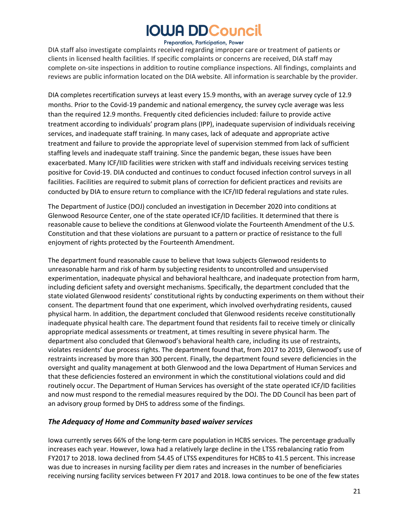#### Preparation, Participation, Power

DIA staff also investigate complaints received regarding improper care or treatment of patients or clients in licensed health facilities. If specific complaints or concerns are received, DIA staff may complete on-site inspections in addition to routine compliance inspections. All findings, complaints and reviews are public information located on the DIA website. All information is searchable by the provider.

DIA completes recertification surveys at least every 15.9 months, with an average survey cycle of 12.9 months. Prior to the Covid-19 pandemic and national emergency, the survey cycle average was less than the required 12.9 months. Frequently cited deficiencies included: failure to provide active treatment according to individuals' program plans (IPP), inadequate supervision of individuals receiving services, and inadequate staff training. In many cases, lack of adequate and appropriate active treatment and failure to provide the appropriate level of supervision stemmed from lack of sufficient staffing levels and inadequate staff training. Since the pandemic began, these issues have been exacerbated. Many ICF/IID facilities were stricken with staff and individuals receiving services testing positive for Covid-19. DIA conducted and continues to conduct focused infection control surveys in all facilities. Facilities are required to submit plans of correction for deficient practices and revisits are conducted by DIA to ensure return to compliance with the ICF/IID federal regulations and state rules.

The Department of Justice (DOJ) concluded an investigation in December 2020 into conditions at Glenwood Resource Center, one of the state operated ICF/ID facilities. It determined that there is reasonable cause to believe the conditions at Glenwood violate the Fourteenth Amendment of the U.S. Constitution and that these violations are pursuant to a pattern or practice of resistance to the full enjoyment of rights protected by the Fourteenth Amendment.

The department found reasonable cause to believe that Iowa subjects Glenwood residents to unreasonable harm and risk of harm by subjecting residents to uncontrolled and unsupervised experimentation, inadequate physical and behavioral healthcare, and inadequate protection from harm, including deficient safety and oversight mechanisms. Specifically, the department concluded that the state violated Glenwood residents' constitutional rights by conducting experiments on them without their consent. The department found that one experiment, which involved overhydrating residents, caused physical harm. In addition, the department concluded that Glenwood residents receive constitutionally inadequate physical health care. The department found that residents fail to receive timely or clinically appropriate medical assessments or treatment, at times resulting in severe physical harm. The department also concluded that Glenwood's behavioral health care, including its use of restraints, violates residents' due process rights. The department found that, from 2017 to 2019, Glenwood's use of restraints increased by more than 300 percent. Finally, the department found severe deficiencies in the oversight and quality management at both Glenwood and the Iowa Department of Human Services and that these deficiencies fostered an environment in which the constitutional violations could and did routinely occur. The Department of Human Services has oversight of the state operated ICF/ID facilities and now must respond to the remedial measures required by the DOJ. The DD Council has been part of an advisory group formed by DHS to address some of the findings.

#### <span id="page-20-0"></span>*The Adequacy of Home and Community based waiver services*

Iowa currently serves 66% of the long-term care population in HCBS services. The percentage gradually increases each year. However, Iowa had a relatively large decline in the LTSS rebalancing ratio from FY2017 to 2018. Iowa declined from 54.45 of LTSS expenditures for HCBS to 41.5 percent. This increase was due to increases in nursing facility per diem rates and increases in the number of beneficiaries receiving nursing facility services between FY 2017 and 2018. Iowa continues to be one of the few states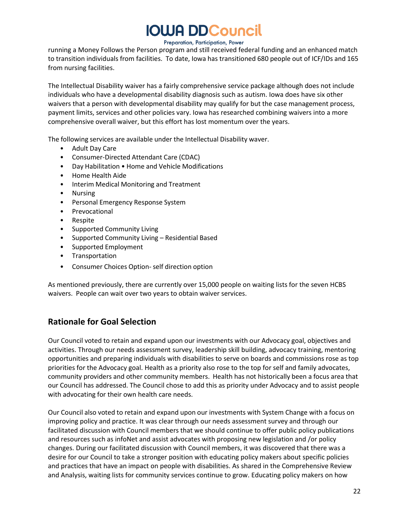#### Preparation, Participation, Power

running a Money Follows the Person program and still received federal funding and an enhanced match to transition individuals from facilities. To date, Iowa has transitioned 680 people out of ICF/IDs and 165 from nursing facilities.

The Intellectual Disability waiver has a fairly comprehensive service package although does not include individuals who have a developmental disability diagnosis such as autism. Iowa does have six other waivers that a person with developmental disability may qualify for but the case management process, payment limits, services and other policies vary. Iowa has researched combining waivers into a more comprehensive overall waiver, but this effort has lost momentum over the years.

The following services are available under the Intellectual Disability waver.

- Adult Day Care
- Consumer-Directed Attendant Care (CDAC)
- Day Habilitation Home and Vehicle Modifications
- Home Health Aide
- Interim Medical Monitoring and Treatment
- Nursing
- Personal Emergency Response System
- **Prevocational**
- Respite
- Supported Community Living
- Supported Community Living Residential Based
- Supported Employment
- Transportation
- Consumer Choices Option-self direction option

As mentioned previously, there are currently over 15,000 people on waiting lists for the seven HCBS waivers. People can wait over two years to obtain waiver services.

### **Rationale for Goal Selection**

Our Council voted to retain and expand upon our investments with our Advocacy goal, objectives and activities. Through our needs assessment survey, leadership skill building, advocacy training, mentoring opportunities and preparing individuals with disabilities to serve on boards and commissions rose as top priorities for the Advocacy goal. Health as a priority also rose to the top for self and family advocates, community providers and other community members. Health has not historically been a focus area that our Council has addressed. The Council chose to add this as priority under Advocacy and to assist people with advocating for their own health care needs.

Our Council also voted to retain and expand upon our investments with System Change with a focus on improving policy and practice. It was clear through our needs assessment survey and through our facilitated discussion with Council members that we should continue to offer public policy publications and resources such as infoNet and assist advocates with proposing new legislation and /or policy changes. During our facilitated discussion with Council members, it was discovered that there was a desire for our Council to take a stronger position with educating policy makers about specific policies and practices that have an impact on people with disabilities. As shared in the Comprehensive Review and Analysis, waiting lists for community services continue to grow. Educating policy makers on how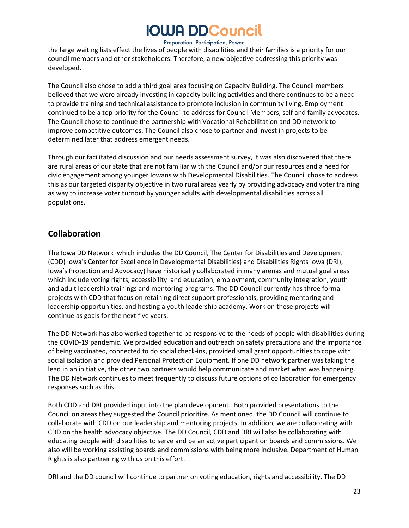Preparation, Participation, Power the large waiting lists effect the lives of people with disabilities and their families is a priority for our council members and other stakeholders. Therefore, a new objective addressing this priority was developed.

The Council also chose to add a third goal area focusing on Capacity Building. The Council members believed that we were already investing in capacity building activities and there continues to be a need to provide training and technical assistance to promote inclusion in community living. Employment continued to be a top priority for the Council to address for Council Members, self and family advocates. The Council chose to continue the partnership with Vocational Rehabilitation and DD network to improve competitive outcomes. The Council also chose to partner and invest in projects to be determined later that address emergent needs.

Through our facilitated discussion and our needs assessment survey, it was also discovered that there are rural areas of our state that are not familiar with the Council and/or our resources and a need for civic engagement among younger Iowans with Developmental Disabilities. The Council chose to address this as our targeted disparity objective in two rural areas yearly by providing advocacy and voter training as way to increase voter turnout by younger adults with developmental disabilities across all populations.

### <span id="page-22-0"></span>**Collaboration**

The Iowa DD Network which includes the DD Council, The Center for Disabilities and Development (CDD) Iowa's Center for Excellence in Developmental Disabilities) and Disabilities Rights Iowa (DRI), Iowa's Protection and Advocacy) have historically collaborated in many arenas and mutual goal areas which include voting rights, accessibility and education, employment, community integration, youth and adult leadership trainings and mentoring programs. The DD Council currently has three formal projects with CDD that focus on retaining direct support professionals, providing mentoring and leadership opportunities, and hosting a youth leadership academy. Work on these projects will continue as goals for the next five years.

The DD Network has also worked together to be responsive to the needs of people with disabilities during the COVID-19 pandemic. We provided education and outreach on safety precautions and the importance of being vaccinated, connected to do social check-ins, provided small grant opportunities to cope with social isolation and provided Personal Protection Equipment. If one DD network partner was taking the lead in an initiative, the other two partners would help communicate and market what was happening. The DD Network continues to meet frequently to discuss future options of collaboration for emergency responses such as this.

Both CDD and DRI provided input into the plan development. Both provided presentations to the Council on areas they suggested the Council prioritize. As mentioned, the DD Council will continue to collaborate with CDD on our leadership and mentoring projects. In addition, we are collaborating with CDD on the health advocacy objective. The DD Council, CDD and DRI will also be collaborating with educating people with disabilities to serve and be an active participant on boards and commissions. We also will be working assisting boards and commissions with being more inclusive. Department of Human Rights is also partnering with us on this effort.

DRI and the DD council will continue to partner on voting education, rights and accessibility. The DD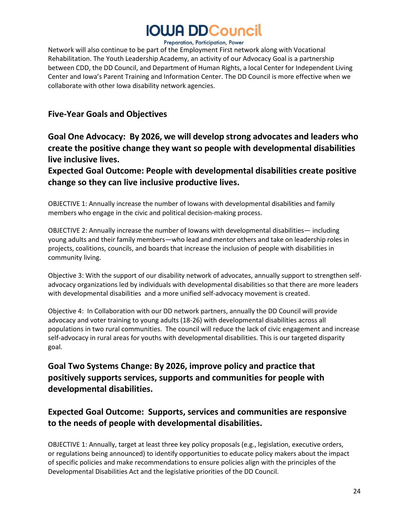#### Preparation, Participation, Power

Network will also continue to be part of the Employment First network along with Vocational Rehabilitation. The Youth Leadership Academy, an activity of our Advocacy Goal is a partnership between CDD, the DD Council, and Department of Human Rights, a local Center for Independent Living Center and Iowa's Parent Training and Information Center. The DD Council is more effective when we collaborate with other Iowa disability network agencies.

### <span id="page-23-0"></span>**Five-Year Goals and Objectives**

### **Goal One Advocacy: By 2026, we will develop strong advocates and leaders who create the positive change they want so people with developmental disabilities live inclusive lives.**

**Expected Goal Outcome: People with developmental disabilities create positive change so they can live inclusive productive lives.** 

OBJECTIVE 1: Annually increase the number of Iowans with developmental disabilities and family members who engage in the civic and political decision-making process.

OBJECTIVE 2: Annually increase the number of Iowans with developmental disabilities— including young adults and their family members—who lead and mentor others and take on leadership roles in projects, coalitions, councils, and boards that increase the inclusion of people with disabilities in community living.

Objective 3: With the support of our disability network of advocates, annually support to strengthen selfadvocacy organizations led by individuals with developmental disabilities so that there are more leaders with developmental disabilities and a more unified self-advocacy movement is created.

Objective 4: In Collaboration with our DD network partners, annually the DD Council will provide advocacy and voter training to young adults (18-26) with developmental disabilities across all populations in two rural communities. The council will reduce the lack of civic engagement and increase self-advocacy in rural areas for youths with developmental disabilities. This is our targeted disparity goal.

### <span id="page-23-1"></span>**Goal Two Systems Change: By 2026, improve policy and practice that positively supports services, supports and communities for people with developmental disabilities.**

### **Expected Goal Outcome: Supports, services and communities are responsive to the needs of people with developmental disabilities.**

OBJECTIVE 1: Annually, target at least three key policy proposals (e.g., legislation, executive orders, or regulations being announced) to identify opportunities to educate policy makers about the impact of specific policies and make recommendations to ensure policies align with the principles of the Developmental Disabilities Act and the legislative priorities of the DD Council.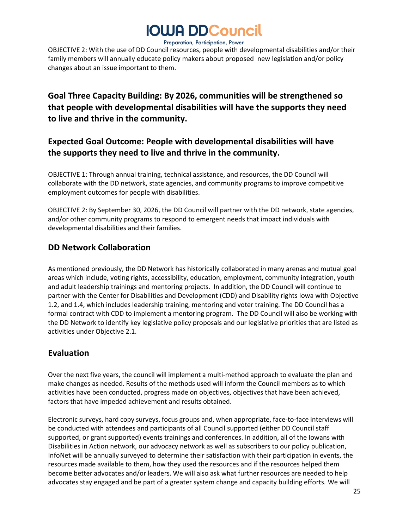Preparation, Participation, Power

OBJECTIVE 2: With the use of DD Council resources, people with developmental disabilities and/or their family members will annually educate policy makers about proposed new legislation and/or policy changes about an issue important to them.

### **Goal Three Capacity Building: By 2026, communities will be strengthened so that people with developmental disabilities will have the supports they need to live and thrive in the community.**

### **Expected Goal Outcome: People with developmental disabilities will have the supports they need to live and thrive in the community.**

OBJECTIVE 1: Through annual training, technical assistance, and resources, the DD Council will collaborate with the DD network, state agencies, and community programs to improve competitive employment outcomes for people with disabilities.

OBJECTIVE 2: By September 30, 2026, the DD Council will partner with the DD network, state agencies, and/or other community programs to respond to emergent needs that impact individuals with developmental disabilities and their families.

### **DD Network Collaboration**

As mentioned previously, the DD Network has historically collaborated in many arenas and mutual goal areas which include, voting rights, accessibility, education, employment, community integration, youth and adult leadership trainings and mentoring projects. In addition, the DD Council will continue to partner with the Center for Disabilities and Development (CDD) and Disability rights Iowa with Objective 1.2, and 1.4, which includes leadership training, mentoring and voter training. The DD Council has a formal contract with CDD to implement a mentoring program. The DD Council will also be working with the DD Network to identify key legislative policy proposals and our legislative priorities that are listed as activities under Objective 2.1.

### <span id="page-24-0"></span>**Evaluation**

Over the next five years, the council will implement a multi-method approach to evaluate the plan and make changes as needed. Results of the methods used will inform the Council members as to which activities have been conducted, progress made on objectives, objectives that have been achieved, factors that have impeded achievement and results obtained.

Electronic surveys, hard copy surveys, focus groups and, when appropriate, face-to-face interviews will be conducted with attendees and participants of all Council supported (either DD Council staff supported, or grant supported) events trainings and conferences. In addition, all of the Iowans with Disabilities in Action network, our advocacy network as well as subscribers to our policy publication, InfoNet will be annually surveyed to determine their satisfaction with their participation in events, the resources made available to them, how they used the resources and if the resources helped them become better advocates and/or leaders. We will also ask what further resources are needed to help advocates stay engaged and be part of a greater system change and capacity building efforts. We will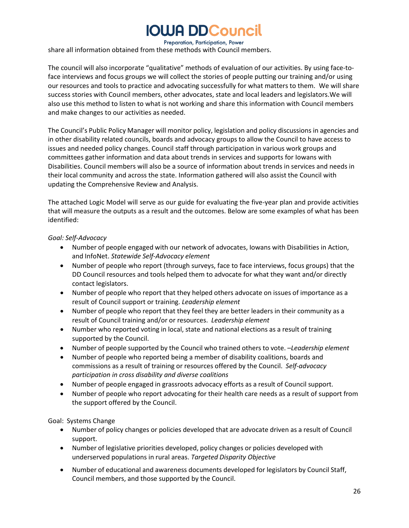#### Preparation, Participation, Power

share all information obtained from these methods with Council members.

The council will also incorporate "qualitative" methods of evaluation of our activities. By using face-toface interviews and focus groups we will collect the stories of people putting our training and/or using our resources and tools to practice and advocating successfully for what matters to them. We will share success stories with Council members, other advocates, state and local leaders and legislators.We will also use this method to listen to what is not working and share this information with Council members and make changes to our activities as needed.

The Council's Public Policy Manager will monitor policy, legislation and policy discussions in agencies and in other disability related councils, boards and advocacy groups to allow the Council to have access to issues and needed policy changes. Council staff through participation in various work groups and committees gather information and data about trends in services and supports for Iowans with Disabilities. Council members will also be a source of information about trends in services and needs in their local community and across the state. Information gathered will also assist the Council with updating the Comprehensive Review and Analysis.

The attached Logic Model will serve as our guide for evaluating the five-year plan and provide activities that will measure the outputs as a result and the outcomes. Below are some examples of what has been identified:

#### *Goal: Self-Advocacy*

- Number of people engaged with our network of advocates, Iowans with Disabilities in Action, and InfoNet. *Statewide Self-Advocacy element*
- Number of people who report (through surveys, face to face interviews, focus groups) that the DD Council resources and tools helped them to advocate for what they want and/or directly contact legislators.
- Number of people who report that they helped others advocate on issues of importance as a result of Council support or training. *Leadership element*
- Number of people who report that they feel they are better leaders in their community as a result of Council training and/or or resources. *Leadership element*
- Number who reported voting in local, state and national elections as a result of training supported by the Council.
- Number of people supported by the Council who trained others to vote. –*Leadership element*
- Number of people who reported being a member of disability coalitions, boards and commissions as a result of training or resources offered by the Council. *Self-advocacy participation in cross disability and diverse coalitions*
- Number of people engaged in grassroots advocacy efforts as a result of Council support.
- Number of people who report advocating for their health care needs as a result of support from the support offered by the Council.

Goal: Systems Change

- Number of policy changes or policies developed that are advocate driven as a result of Council support.
- Number of legislative priorities developed, policy changes or policies developed with underserved populations in rural areas. *Targeted Disparity Objective*
- Number of educational and awareness documents developed for legislators by Council Staff, Council members, and those supported by the Council.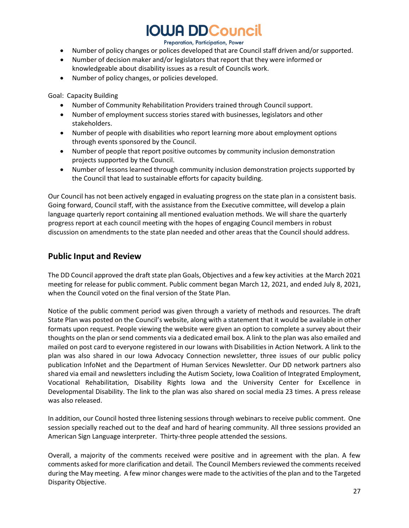#### Preparation, Participation, Power

- Number of policy changes or polices developed that are Council staff driven and/or supported.
- Number of decision maker and/or legislators that report that they were informed or knowledgeable about disability issues as a result of Councils work.
- Number of policy changes, or policies developed.

Goal: Capacity Building

- Number of Community Rehabilitation Providers trained through Council support.
- Number of employment success stories stared with businesses, legislators and other stakeholders.
- Number of people with disabilities who report learning more about employment options through events sponsored by the Council.
- Number of people that report positive outcomes by community inclusion demonstration projects supported by the Council.
- Number of lessons learned through community inclusion demonstration projects supported by the Council that lead to sustainable efforts for capacity building.

Our Council has not been actively engaged in evaluating progress on the state plan in a consistent basis. Going forward, Council staff, with the assistance from the Executive committee, will develop a plain language quarterly report containing all mentioned evaluation methods. We will share the quarterly progress report at each council meeting with the hopes of engaging Council members in robust discussion on amendments to the state plan needed and other areas that the Council should address.

### <span id="page-26-0"></span>**Public Input and Review**

The DD Council approved the draft state plan Goals, Objectives and a few key activities at the March 2021 meeting for release for public comment. Public comment began March 12, 2021, and ended July 8, 2021, when the Council voted on the final version of the State Plan.

Notice of the public comment period was given through a variety of methods and resources. The draft State Plan was posted on the Council's website, along with a statement that it would be available in other formats upon request. People viewing the website were given an option to complete a survey about their thoughts on the plan or send comments via a dedicated email box. A link to the plan was also emailed and mailed on post card to everyone registered in our Iowans with Disabilities in Action Network. A link to the plan was also shared in our Iowa Advocacy Connection newsletter, three issues of our public policy publication InfoNet and the Department of Human Services Newsletter. Our DD network partners also shared via email and newsletters including the Autism Society, Iowa Coalition of Integrated Employment, Vocational Rehabilitation, Disability Rights Iowa and the University Center for Excellence in Developmental Disability. The link to the plan was also shared on social media 23 times. A press release was also released.

In addition, our Council hosted three listening sessions through webinars to receive public comment. One session specially reached out to the deaf and hard of hearing community. All three sessions provided an American Sign Language interpreter. Thirty-three people attended the sessions.

Overall, a majority of the comments received were positive and in agreement with the plan. A few comments asked for more clarification and detail. The Council Membersreviewed the comments received during the May meeting. A few minor changes were made to the activities of the plan and to the Targeted Disparity Objective.